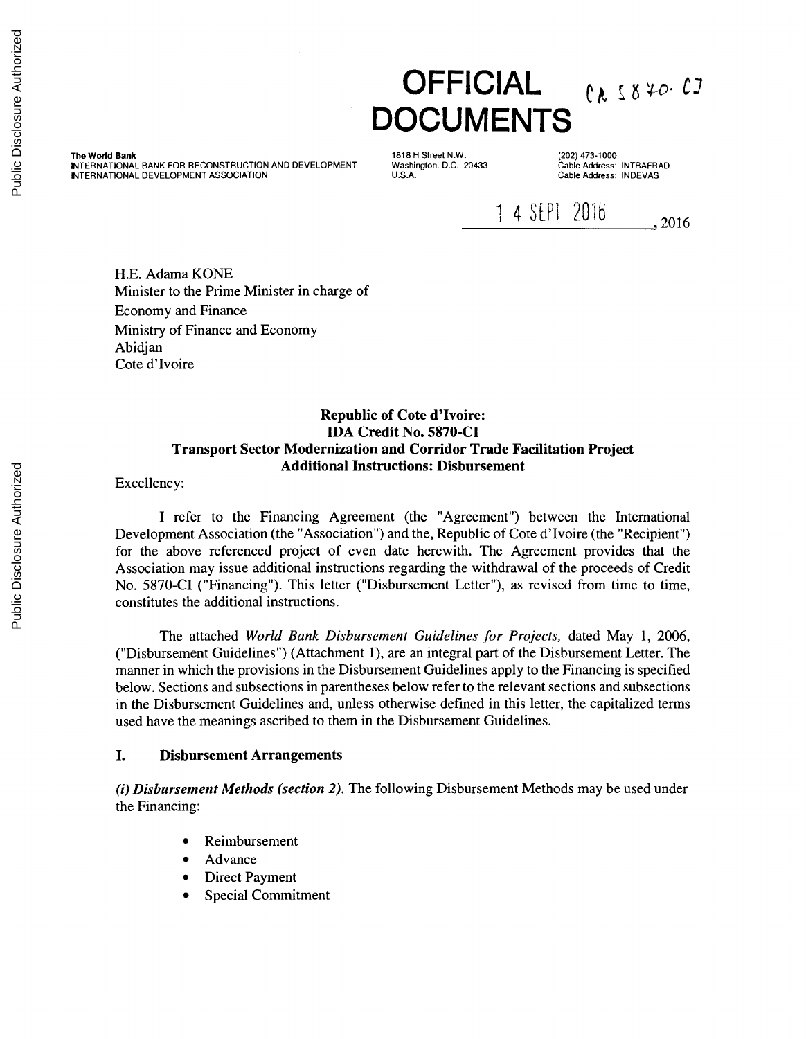# **OFFICIAL**  $e_{\lambda}$  58 70- 03 **DOCUMENTS**

The World Bank INTERNATIONAL BANK FOR RECONSTRUCTION AND DEVELOPMENT INTERNATIONAL DEVELOPMENT ASSOCIATION

1818 H Street N.W. Washington, D.C. 20433 U.S.A.

(202) 473-1000 Cable Address: INTBAFRAD Cable Address: INDEVAS

1 4 SEPI 2016 . 2016

H.E. Adama KONE Minister to the Prime Minister in charge of Economy and Finance Ministry of Finance and Economy Abidjan Cote d'Ivoire

#### Republic of Cote d'Ivoire: IDA Credit No. 5870-CI Transport Sector Modernization and Corridor Trade Facilitation Project Additional Instructions: Disbursement

Excellency:

I refer to the Financing Agreement (the "Agreement") between the International Development Association (the "Association") and the, Republic of Cote d'Ivoire (the "Recipient") for the above referenced project of even date herewith. The Agreement provides that the Association may issue additional instructions regarding the withdrawal of the proceeds of Credit No. 5870-CI ("Financing"). This letter ("Disbursement Letter"), as revised from time to time, constitutes the additional instructions.

The attached *World Bank Disbursement Guidelines for Projects,* dated May 1, 2006, ("Disbursement Guidelines") (Attachment 1), are an integral part of the Disbursement Letter. The manner in which the provisions in the Disbursement Guidelines apply to the Financing is specified below. Sections and subsections in parentheses below refer to the relevant sections and subsections in the Disbursement Guidelines and, unless otherwise defined in this letter, the capitalized terms used have the meanings ascribed to them in the Disbursement Guidelines.

#### I. Disbursement Arrangements

*(i) Disbursement Methods (section 2).* The following Disbursement Methods may be used under the Financing:

- Reimbursement
- Advance
- Direct Payment
- Special Commitment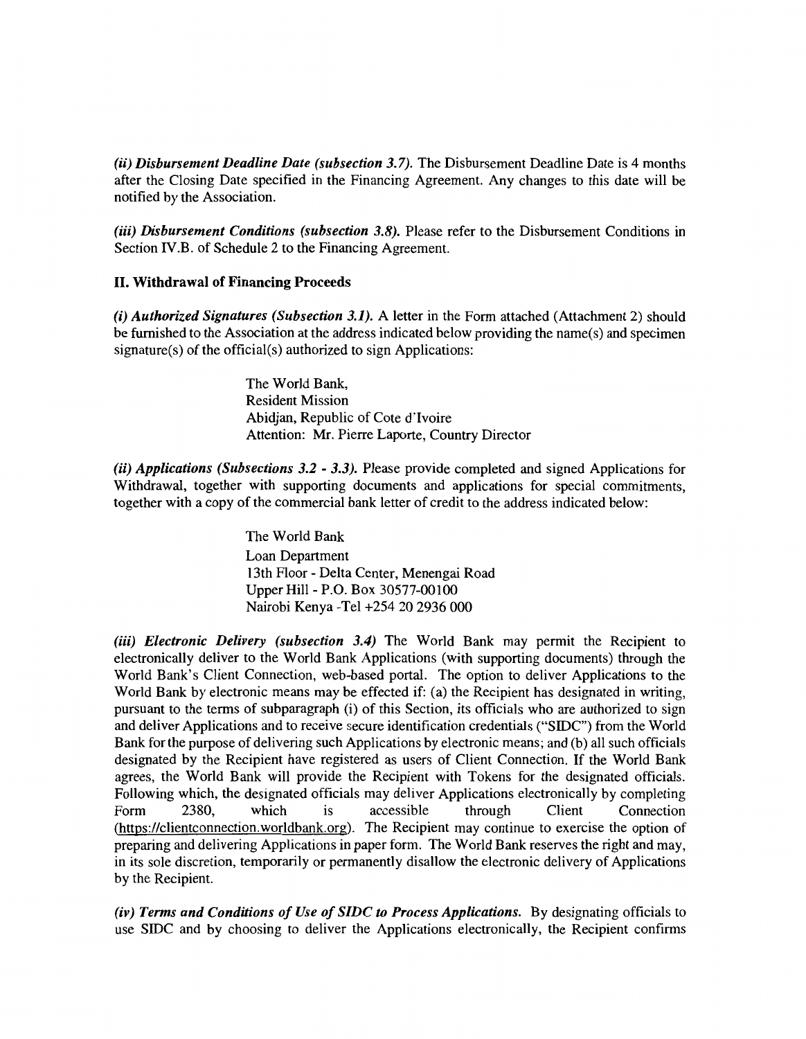*(ii) Disbursement Deadline Date (subsection 3.7).* The Disbursement Deadline Date is 4 months after the Closing Date specified in the Financing Agreement. Any changes to this date will be notified by the Association.

(iii) *Disbursement Conditions (subsection 3.8)*. Please refer to the Disbursement Conditions in Section IV.B. of Schedule 2 to the Financing Agreement.

#### II. Withdrawal of Financing Proceeds

(i) *Authorized Signatures (Subsection 3.1).* A letter in the Form attached (Attachment 2) should be furnished to the Association at the address indicated below providing the name(s) and specimen signature(s) of the official(s) authorized to sign Applications:

> The World Bank, Resident Mission Abidjan, Republic of Cote d'Ivoire Attention: Mr. Pierre Laporte, Country Director

*(ii) Applications (Subsections 3.2* - *3.3).* Please provide completed and signed Applications for Withdrawal, together with supporting documents and applications for special commitments, together with a copy of the commercial bank letter of credit to the address indicated below:

> The World Bank Loan Department 13th Floor - Delta Center, Menengai Road Upper Hill - P.O. Box 30577-00100 Nairobi Kenya -Tel +254 20 2936 000

*(iii) Electronic Delivery (subsection 3.4)* The World Bank may permit the Recipient to electronically deliver to the World Bank Applications (with supporting documents) through the World Bank's Client Connection, web-based portal. The option to deliver Applications to the World Bank by electronic means may be effected if: (a) the Recipient has designated in writing, pursuant to the terms of subparagraph (i) of this Section, its officials who are authorized to sign and deliver Applications and to receive secure identification credentials ("SIDC") from the World Bank for the purpose of delivering such Applications by electronic means; and (b) all such officials designated by the Recipient have registered as users of Client Connection. If the World Bank agrees, the World Bank will provide the Recipient with Tokens for the designated officials. Following which, the designated officials may deliver Applications electronically by completing Form 2380, which is accessible through Client Connection (https://clientconnection.worldbank.org). The Recipient may continue to exercise the option of preparing and delivering Applications in paper form. The World Bank reserves the right and may, in its sole discretion, temporarily or permanently disallow the electronic delivery of Applications by the Recipient.

*(iv) Terms and Conditions of Use of SJDC to Process Applications.* By designating officials to use SIDC and by choosing to deliver the Applications electronically, the Recipient confirms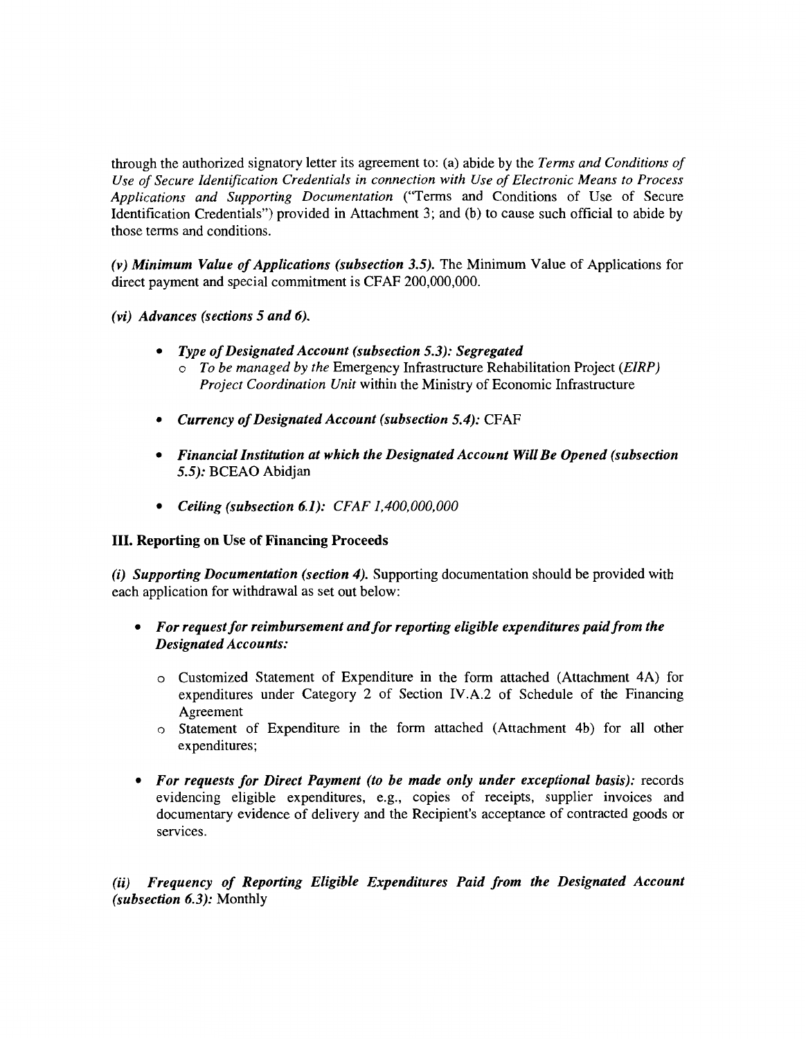through the authorized signatory letter its agreement to: (a) abide by the *Terms and Conditions of Use of Secure Identification Credentials in connection with Use of Electronic Means to Process Applications and Supporting Documentation* ("Terms and Conditions of Use of Secure Identification Credentials") provided in Attachment 3; and (b) to cause such official to abide by those terms and conditions.

*(v) Minimum Value of Applications (subsection 3.5).* The Minimum Value of Applications for direct payment and special commitment is CFAF 200,000,000.

- *(vi) Advances (sections 5 and 6).* 
	- *Type of Designated Account (subsection 5.3): Segregated* 
		- o *To be managed by the* Emergency Infrastructure Rehabilitation Project *(EIRP) Project Coordination Unit* within the Ministry of Economic Infrastructure
	- *Currency of Designated Account (subsection 5.4):* CFAF
	- *Financial Institution at which the Designated Account Will Be Opened (subsection 5.5):* BCEAO Abidjan
	- *Ceiling (subsection 6.1): CFAF 1,400,000,000*

#### III. Reporting on Use of Financing Proceeds

*(i) Supporting Documentation (section 4).* Supporting documentation should be provided with each application for withdrawal as set out below:

#### • *For request for reimbursement and for reporting eligible expenditures paid from the Designated Accounts:*

- o Customized Statement of Expenditure in the form attached (Attachment 4A) for expenditures under Category 2 of Section IV.A.2 of Schedule of the Financing Agreement
- o Statement of Expenditure in the form attached (Attachment 4b) for all other expenditures;
- *For requests for Direct Payment (to be made only under exceptional basis):* records evidencing eligible expenditures, e.g., copies of receipts, supplier invoices and documentary evidence of delivery and the Recipient's acceptance of contracted goods or services.

*(ii) Frequency of Reporting Eligible Expenditures Paid from the Designated Account (subsection 6.3):* Monthly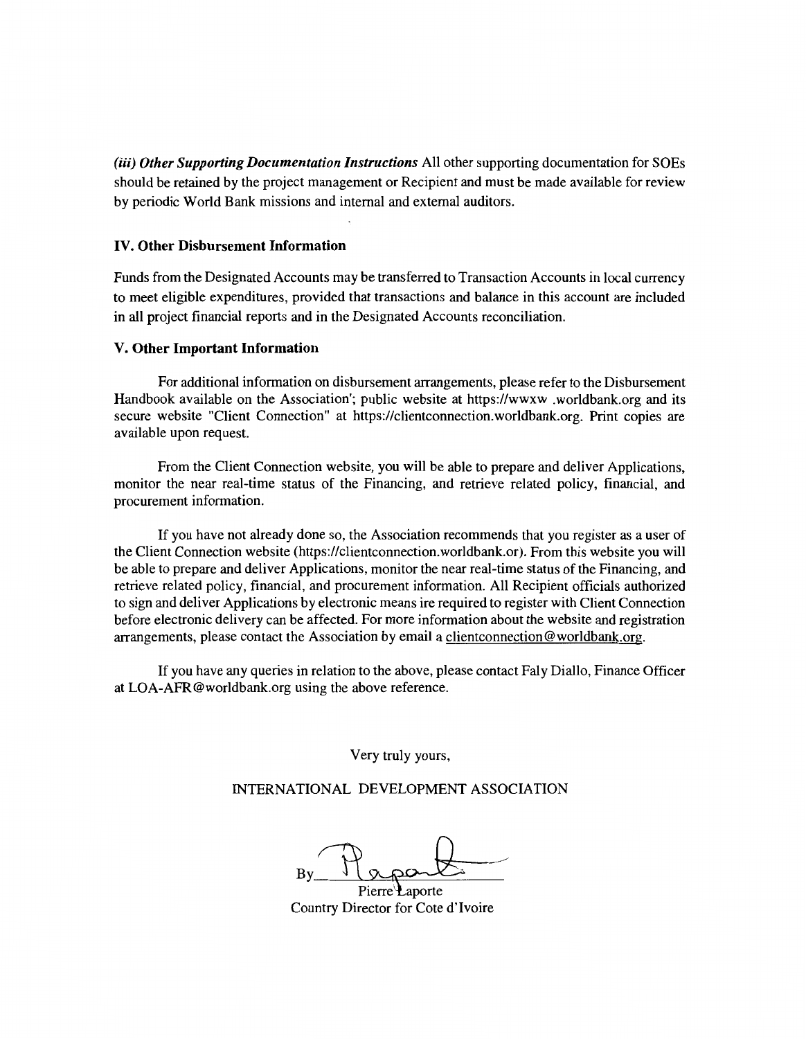(iii) *Other Supporting Documentation Instructions* All other supporting documentation for SOEs should be retained by the project management or Recipient and must be made available for review by periodic World Bank missions and internal and external auditors.

#### IV. Other Disbursement Information

Funds from the Designated Accounts may be transferred to Transaction Accounts in local currency to meet eligible expenditures, provided that transactions and balance in this account are included in all project financial reports and in the Designated Accounts reconciliation.

#### V. Other Important Information

For additional information on disbursement arrangements, please refer to the Disbursement Handbook available on the Association'; public website at https://wwxw .worldbank.org and its secure website "Client Connection" at https://clientconnection.worldbank.org. Print copies are available upon request.

From the Client Connection website, you will be able to prepare and deliver Applications, monitor the near real-time status of the Financing, and retrieve related policy, financial, and procurement information.

If you have not already done so, the Association recommends that you register as a user of the Client Connection website (https://clientconnection.worldbank.or). From this website you will be able to prepare and deliver Applications, monitor the near real-time status of the Financing, and retrieve related policy, financial, and procurement information. All Recipient officials authorized to sign and deliver Applications by electronic means ire required to register with Client Connection before electronic delivery can be affected. For more information about the website and registration arrangements, please contact the Association by email a clientconnection@worldbank.org.

If you have any queries in relation to the above, please contact Faly Diallo, Finance Officer at LOA-AFR@worldbank.org using the above reference.

Very truly yours,

INTERNATIONAL DEVELOPMENT ASSOCIATION

 $By  $g$$ 

Country Director for Cote d'Ivoire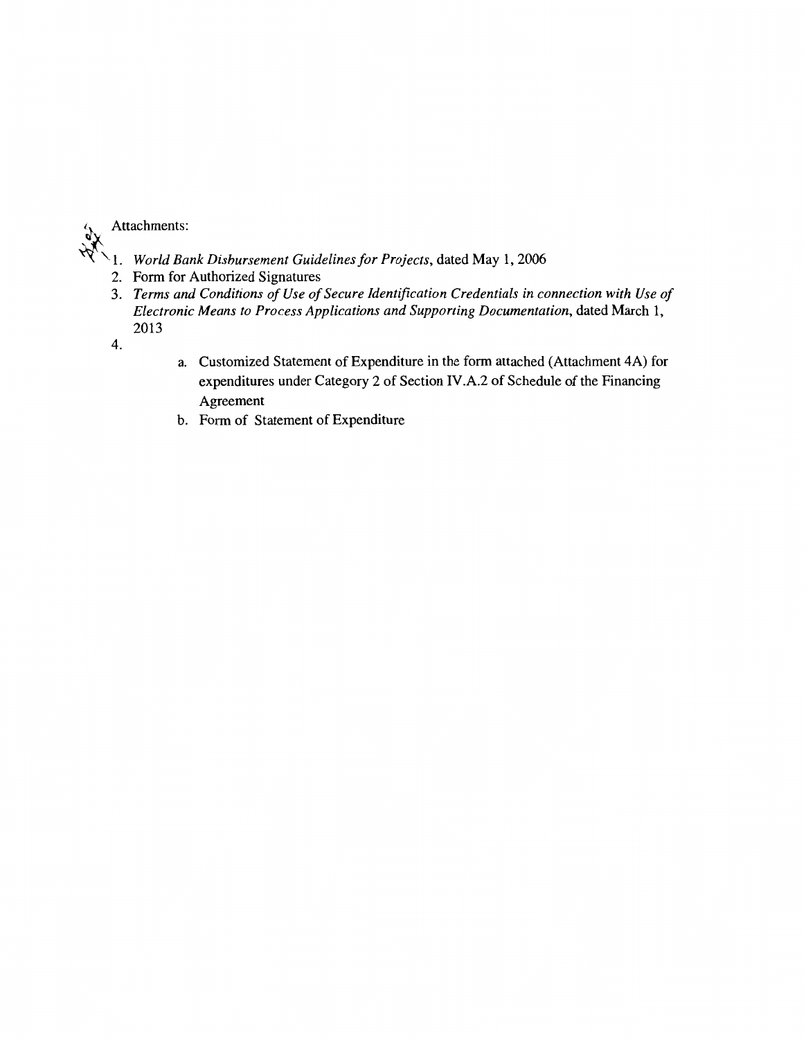

- $W \setminus 1$ . *World Bank Disbursement Guidelines for Projects*, dated May 1, 2006
	- 2. Form for Authorized Signatures
	- 3. *Terms and Conditions of Use of Secure Identification Credentials in connection with Use of Electronic Means to Process Applications and Supporting Documentation, dated March 1,* 2013
	- 4.
- a. Customized Statement of Expenditure in the form attached (Attachment 4A) for expenditures under Category 2 of Section IV .A.2 of Schedule of the Financing Agreement
- b. Form of Statement of Expenditure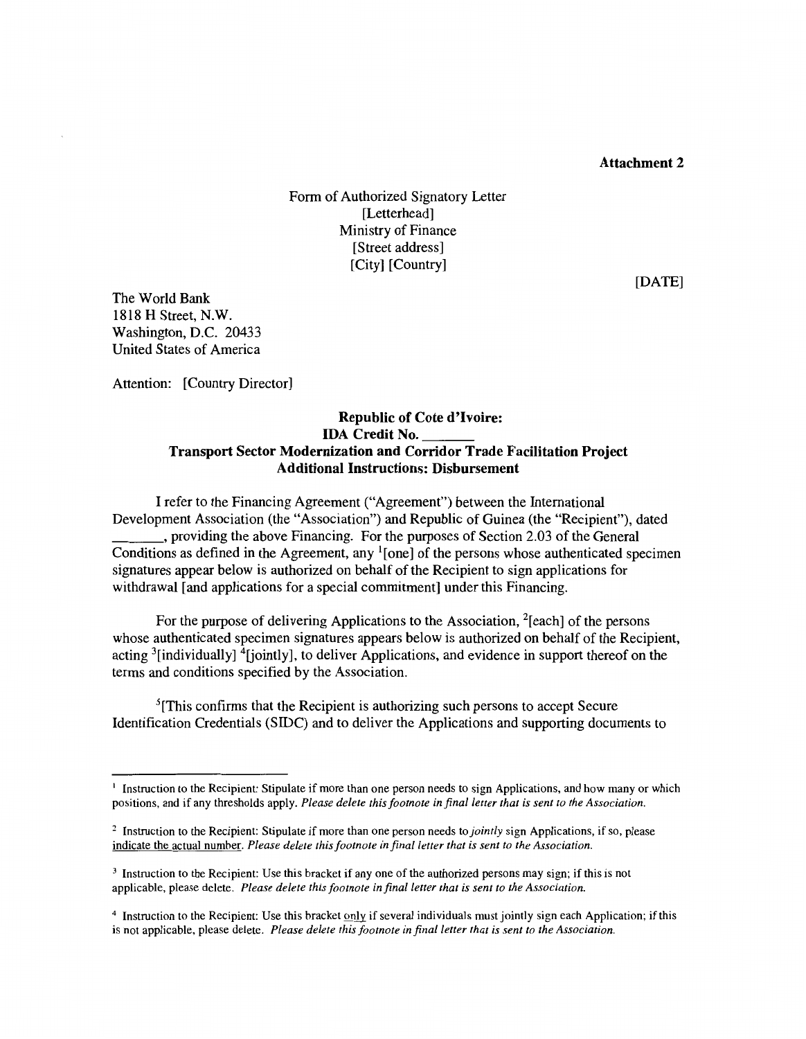#### **Attachment 2**

Form of Authorized Signatory Letter [Letterhead] Ministry of Finance [Street address] [City] [Country]

The World Bank 1818 **H** Street, N.W. Washington, D.C. 20433 United States of America

Attention: [Country Director]

#### **Republic of Cote d'Ivoire: IDA Credit No. \_\_ \_ Transport Sector Modernization and Corridor Trade Facilitation Project Additional Instructions: Disbursement**

I refer to the Financing Agreement ("Agreement") between the International Development Association (the "Association") and Republic of Guinea (the "Recipient"), dated \_\_\_ ., providing the above Financing. For the purposes of Section 2.03 of the General Conditions as defined in the Agreement, any  $\frac{1}{2}$  [one] of the persons whose authenticated specimen signatures appear below is authorized on behalf of the Recipient to sign applications for withdrawal [and applications for a special commitment] under this Financing.

For the purpose of delivering Applications to the Association, <sup>2</sup>[each] of the persons whose authenticated specimen signatures appears below is authorized on behalf of the Recipient, acting <sup>3</sup>[individually] <sup>4</sup>[jointly], to deliver Applications, and evidence in support thereof on the terms and conditions specified by the Association.

 $<sup>5</sup>[This confirms that the Recipient is authorizing such persons to accept Secure]$ </sup> Identification Credentials (SIDC) and to deliver the Applications and supporting documents to

[DATE]

<sup>&</sup>lt;sup>1</sup> Instruction to the Recipient: Stipulate if more than one person needs to sign Applications, and how many or which positions, and if any thresholds apply. *Please delete this footnote in final letter that is sent to the Association.* 

<sup>2</sup>Instruction to the Recipient: Stipulate if more than one person needs to *jointly* sign Applications, if so, please indicate the actual number. *Please delete this footnote in final letter that is sent to the Association.* 

<sup>3</sup> Instruction to the Recipient: Use this bracket if any one of the authorized persons may sign; if this is not applicable, please delete. *Please delete this footnote in final letter that is sent to the Association.* 

<sup>4</sup> Instruction to the Recipient: Use this bracket only if several individuals must jointly sign each Application; if this is not applicable, please delete. *Please delete this footnote in final letter that is sent to the Association.*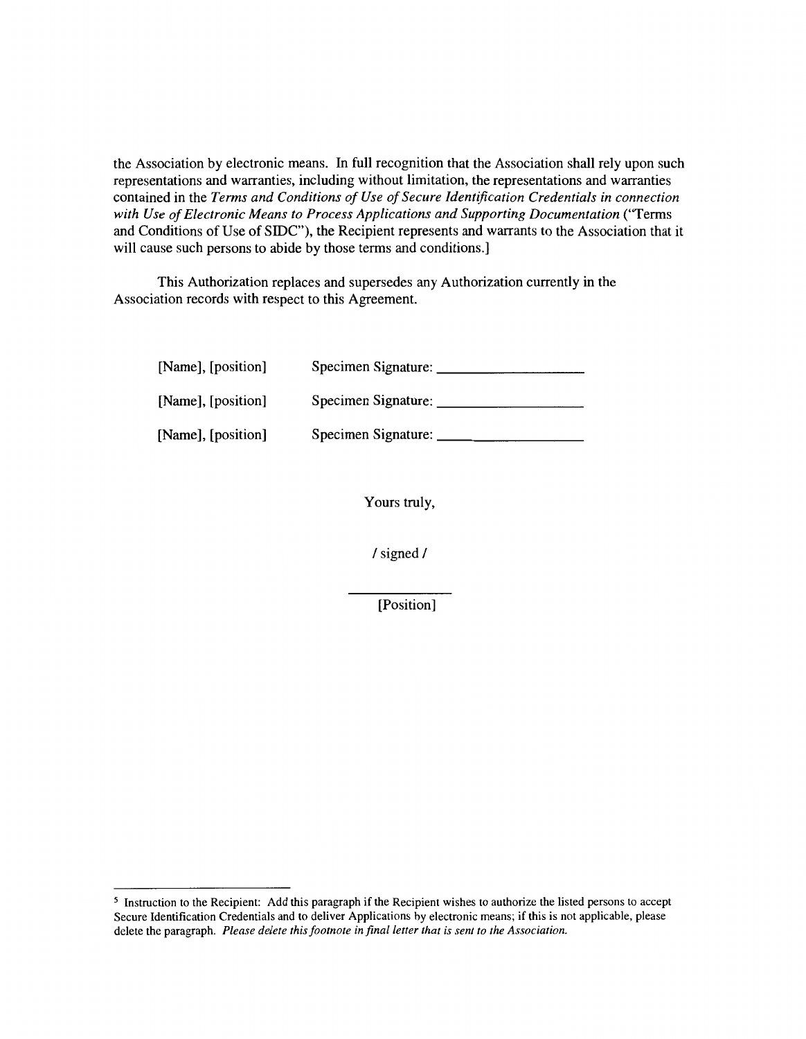the Association by electronic means. In full recognition that the Association shall rely upon such representations and warranties, including without limitation, the representations and warranties contained in the *Terms and Conditions of Use of Secure Identification Credentials in connection with Use of Electronic Means to Process Applications and Supporting Documentation* (''Terms and Conditions of Use of SIDC"), the Recipient represents and warrants to the Association that it will cause such persons to abide by those terms and conditions.]

This Authorization replaces and supersedes any Authorization currently in the Association records with respect to this Agreement.

| [Name], [position] | Specimen Signature: |
|--------------------|---------------------|
| [Name], [position] | Specimen Signature: |
| [Name], [position] | Specimen Signature: |

Yours truly,

I signed I

[Position]

<sup>5</sup> Instruction to the Recipient: Add this paragraph if the Recipient wishes to authorize the listed persons to accept Secure Identification Credentials and to deliver Applications by electronic means; if this is not applicable, please delete the paragraph. *Please delete this footnote in final letter that is sent to the Association.*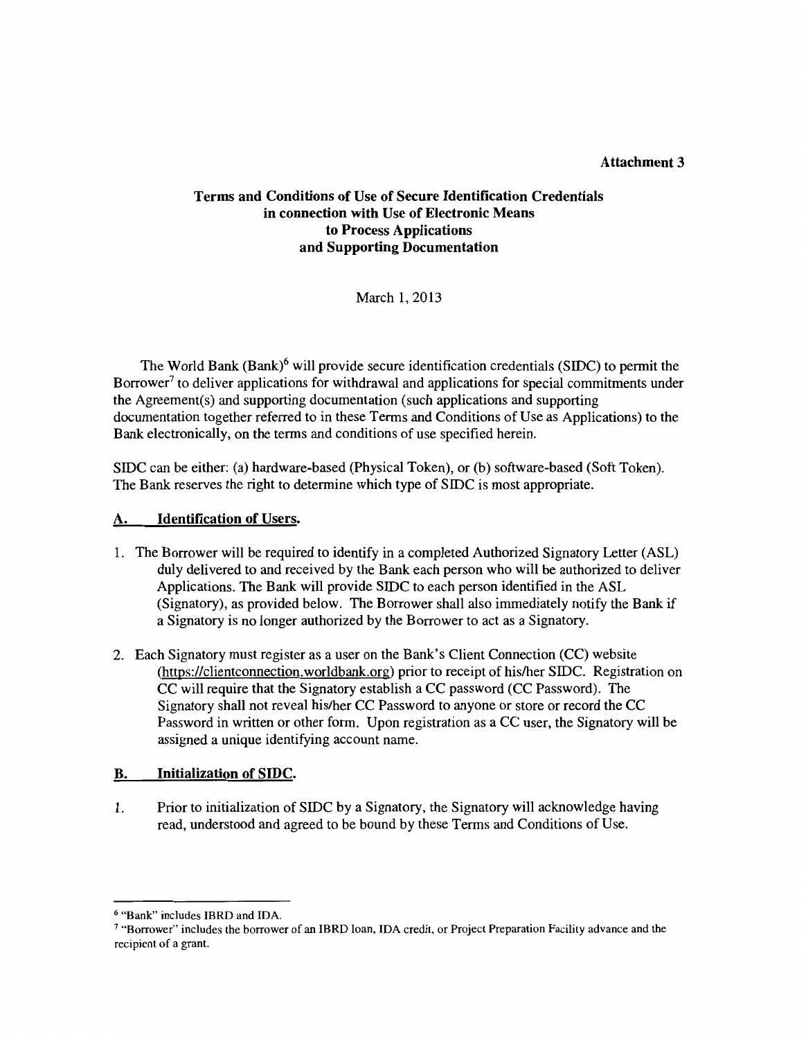#### Attachment 3

#### Terms and Conditions of Use of Secure Identification Credentials in connection with Use of Electronic Means to Process Applications and Supporting Documentation

March 1, 2013

The World Bank  $(Bank)^6$  will provide secure identification credentials (SIDC) to permit the Borrower<sup>7</sup> to deliver applications for withdrawal and applications for special commitments under the Agreement(s) and supporting documentation (such applications and supporting documentation together referred to in these Terms and Conditions of Use as Applications) to the Bank electronically, on the terms and conditions of use specified herein.

SIDC can be either: (a) hardware-based (Physical Token), or (b) software-based (Soft Token). The Bank reserves the right to determine which type of SIDC is most appropriate.

#### **Identification of Users.**

- 1. The Borrower will be required to identify in a completed Authorized Signatory Letter (ASL) duly delivered to and received by the Bank each person who will be authorized to deliver Applications. The Bank will provide SIDC to each person identified in the ASL (Signatory), as provided below. The Borrower shall also immediately notify the Bank if a Signatory is no longer authorized by the Borrower to act as a Signatory.
- 2. Each Signatory must register as a user on the Bank's Client Connection (CC) website (https://clientconnection.worldbank.org) prior to receipt of his/her SIDC. Registration on CC will require that the Signatory establish a CC password (CC Password). The Signatory shall not reveal his/her CC Password to anyone or store or record the CC Password in written or other form. Upon registration as a CC user, the Signatory will be assigned a unique identifying account name.

#### B. Initialization of SIDC.

1. Prior to initialization of SIDC by a Signatory, the Signatory will acknowledge having read, understood and agreed to be bound by these Terms and Conditions of Use.

<sup>&</sup>lt;sup>6</sup> "Bank" includes IBRD and IDA.<br><sup>7</sup> "Borrower" includes the borrower of an IBRD loan, IDA credit, or Project Preparation Facility advance and the recipient of a grant.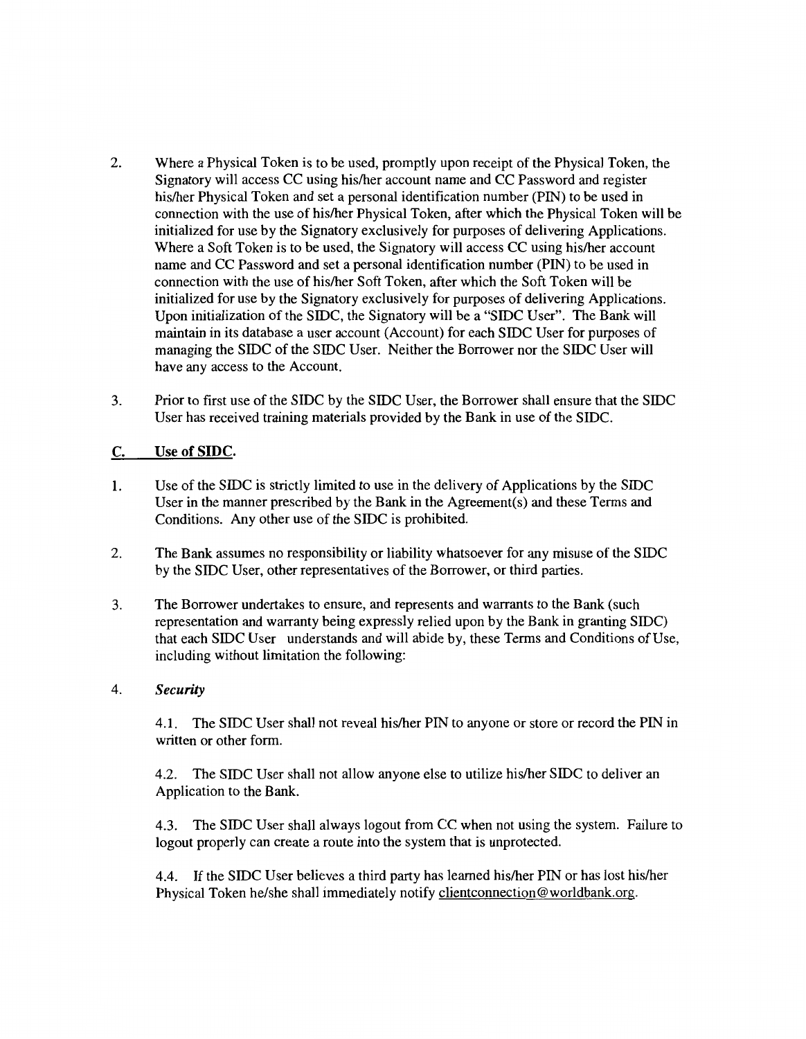- 2. Where a Physical Token is to be used, promptly upon receipt of the Physical Token, the Signatory will access CC using his/her account name and CC Password and register his/her Physical Token and set a personal identification number (PIN) to be used in connection with the use of his/her Physical Token, after which the Physical Token will be initialized for use by the Signatory exclusively for purposes of delivering Applications. Where a Soft Token is to be used, the Signatory will access CC using his/her account name and CC Password and set a personal identification number (PIN) to be used in connection with the use of his/her Soft Token, after which the Soft Token will be initialized for use by the Signatory exclusively for purposes of delivering Applications. Upon initialization of the SIDC, the Signatory will be a "SIDC User". The Bank will maintain in its database a user account (Account) for each SIDC User for purposes of managing the SIDC of the SIDC User. Neither the Borrower nor the SIDC User will have any access to the Account.
- 3. Prior to first use of the SIDC by the SIDC User, the Borrower shall ensure that the SIDC User has received training materials provided by the Bank in use of the SIDC.

#### C. Use of SIDC.

- I. Use of the SIDC is strictly limited to use in the delivery of Applications by the SIDC User in the manner prescribed by the Bank in the Agreement(s) and these Terms and Conditions. Any other use of the SIDC is prohibited.
- 2. The Bank assumes no responsibility or liability whatsoever for any misuse of the SIDC by the SIDC User, other representatives of the Borrower, or third parties.
- 3. The Borrower undertakes to ensure, and represents and warrants to the Bank (such representation and warranty being expressly relied upon by the Bank in granting SIDC) that each SIDC User understands and will abide by, these Terms and Conditions of Use, including without limitation the following:

#### 4. *Security*

4.1. The SIDC User shall not reveal his/her PIN to anyone or store or record the PIN in written or other form.

4.2. The SIDC User shall not allow anyone else to utilize his/her SIDC to deliver an Application to the Bank.

4.3. The SIDC User shall always logout from CC when not using the system. Failure to logout properly can create a route into the system that is unprotected.

4.4. If the SIDC User believes a third party has learned his/her PIN or has lost his/her Physical Token he/she shall immediately notify clientconnection@worldbank.org.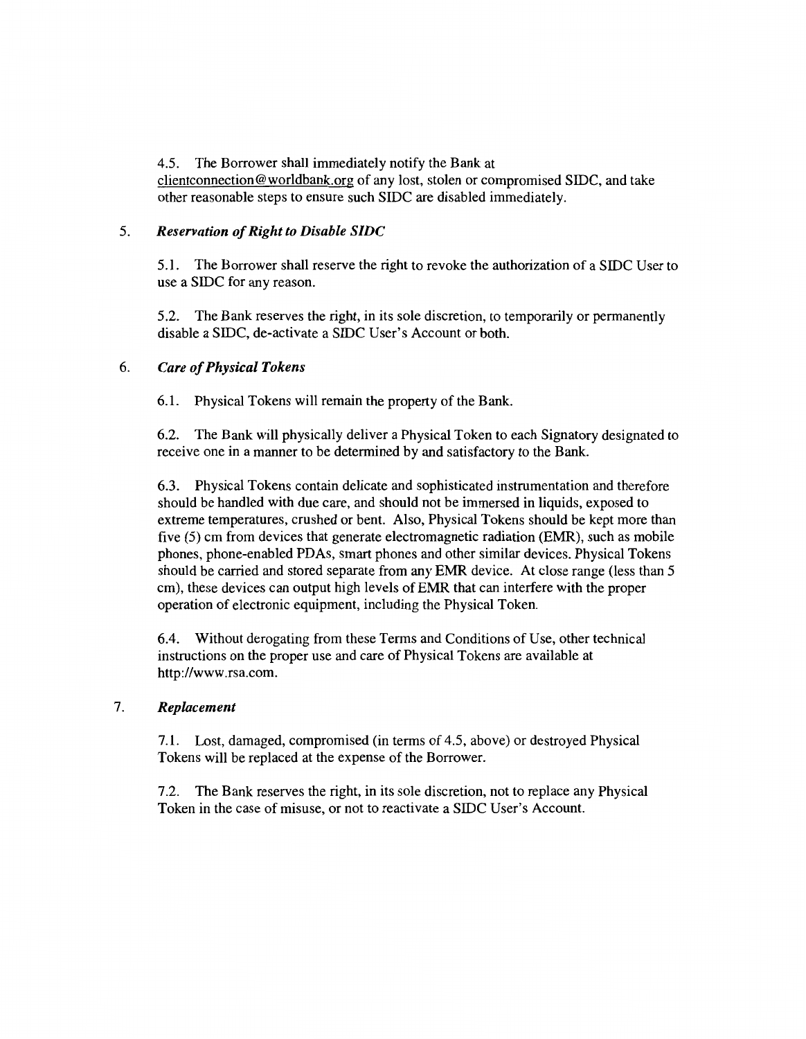4.5. The Borrower shall immediately notify the Bank at clientconnection@worldbank.org of any lost, stolen or compromised SIDC, and take other reasonable steps to ensure such SIDC are disabled immediately.

#### 5. *Reservation of Right to Disable SIDC*

5.1. The Borrower shall reserve the right to revoke the authorization of a SIDC User to use a SIDC for any reason.

5.2. The Bank reserves the right, in its sole discretion, to temporarily or permanently disable a SIDC, de-activate a SIDC User's Account or both.

#### 6. *Care of Physical Tokens*

6.1. Physical Tokens will remain the property of the Bank.

6.2. The Bank will physically deliver a Physical Token to each Signatory designated to receive one in a manner to be determined by and satisfactory to the Bank.

6.3. Physical Tokens contain delicate and sophisticated instrumentation and therefore should be handled with due care, and should not be immersed in liquids, exposed to extreme temperatures, crushed or bent. Also, Physical Tokens should be kept more than five (5) cm from devices that generate electromagnetic radiation (EMR), such as mobile phones, phone-enabled PD As, smart phones and other similar devices. Physical Tokens should be carried and stored separate from any EMR device. At close range (less than 5 cm), these devices can output high levels of EMR that can interfere with the proper operation of electronic equipment, including the Physical Token.

6.4. Without derogating from these Terms and Conditions of Use, other technical instructions on the proper use and care of Physical Tokens are available at http://www.rsa.com.

#### 7. *Replacement*

7.1. Lost, damaged, compromised (in terms of 4.5, above) or destroyed Physical Tokens will be replaced at the expense of the Borrower.

7 .2. The Bank reserves the right, in its sole discretion, not to replace any Physical Token in the case of misuse, or not to reactivate a SIDC User's Account.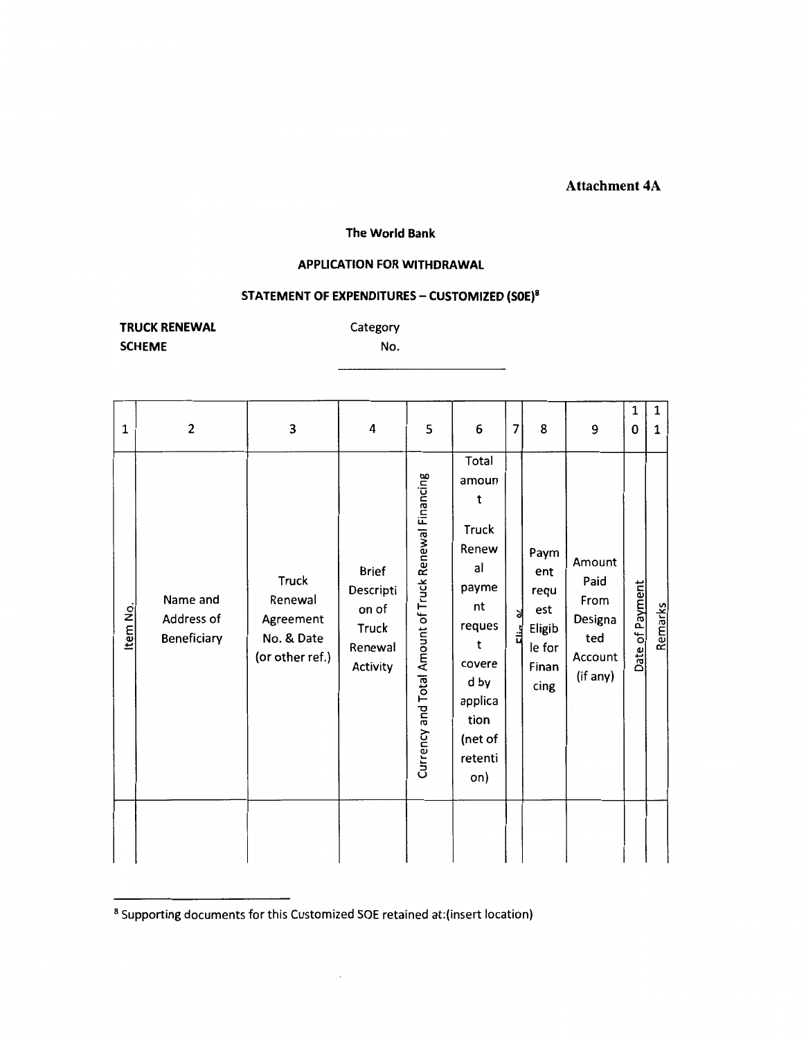#### **Attachment 4A**

#### The World Bank

#### **APPLICATION FOR WITHDRAWAL**

### STATEMENT OF EXPENDITURES - CUSTOMIZED (SOE)<sup>8</sup>

**TRUCK RENEWAL SCHEME** 

Category No.

| 1        | $\mathbf{2}$                          | 3                                                                     | 4                                                                         | 5                                                    | 6                                                                                                                                           | 7          | 8                                                               | 9                                                               | 1<br>0          | 1<br>1  |
|----------|---------------------------------------|-----------------------------------------------------------------------|---------------------------------------------------------------------------|------------------------------------------------------|---------------------------------------------------------------------------------------------------------------------------------------------|------------|-----------------------------------------------------------------|-----------------------------------------------------------------|-----------------|---------|
| Item No. | Name and<br>Address of<br>Beneficiary | <b>Truck</b><br>Renewal<br>Agreement<br>No. & Date<br>(or other ref.) | <b>Brief</b><br>Descripti<br>on of<br><b>Truck</b><br>Renewal<br>Activity | Currency and Total Amount of Truck Renewal Financing | Total<br>amoun<br>t<br>Truck<br>Renew<br>al<br>payme<br>nt<br>reques<br>t<br>covere<br>d by<br>applica<br>tion<br>(net of<br>retenti<br>on) | ৰ<br>Elia. | Paym<br>ent<br>requ<br>est<br>Eligib<br>le for<br>Finan<br>cing | Amount<br>Paid<br>From<br>Designa<br>ted<br>Account<br>(if any) | Date of Payment | Remarks |
|          |                                       |                                                                       |                                                                           |                                                      |                                                                                                                                             |            |                                                                 |                                                                 |                 |         |

<sup>&</sup>lt;sup>8</sup> Supporting documents for this Customized SOE retained at: (insert location)

 $\overline{\phantom{a}}$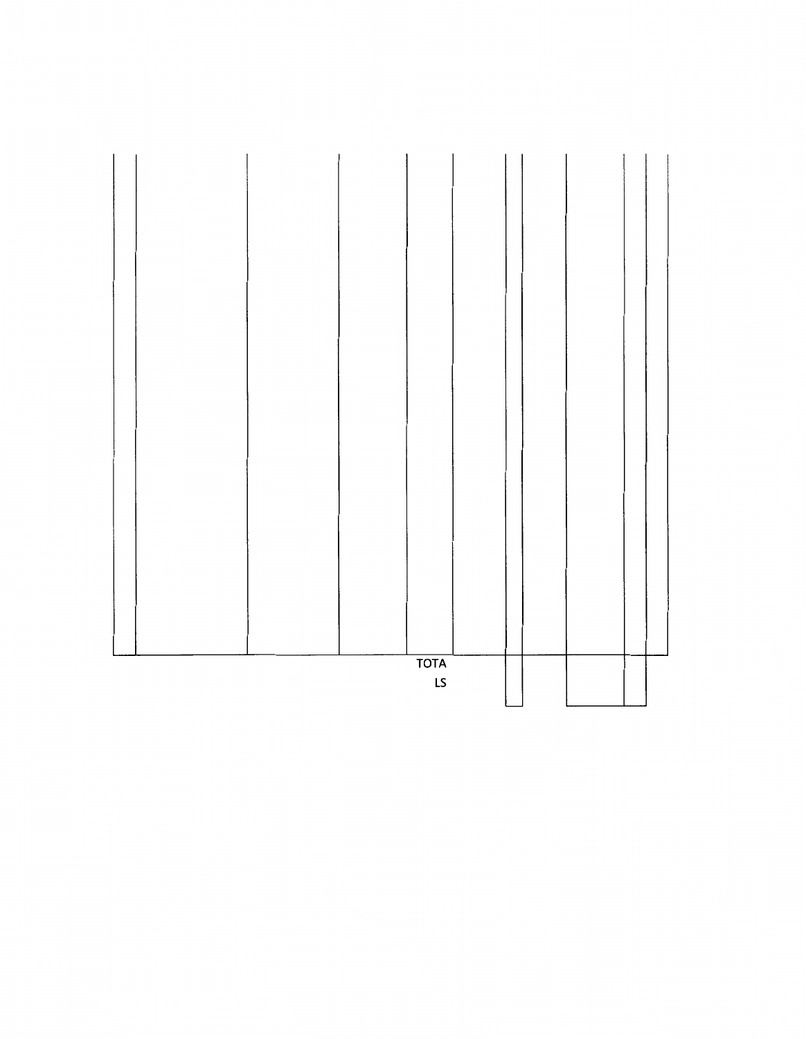